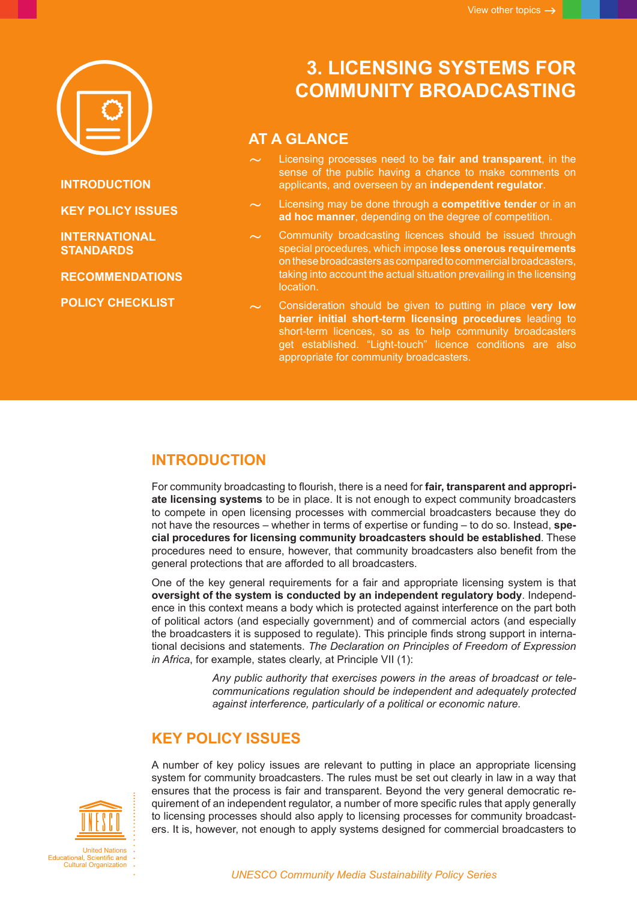

**INTRODUCTION**

**KEY POLICY ISSUES**

**[INTERNATIONAL](#page-2-0)  [STANDARDS](#page-2-0)**

**[RECOMMENDATIONS](#page-2-0)**

**[POLICY CHECKLIST](#page-3-0)**

# **3. LICENSING SYSTEMS FOR COMMUNITY BROADCASTING**

# **AT A GLANCE**

- Licensing processes need to be **fair and transparent**, in the sense of the public having a chance to make comments on applicants, and overseen by an **independent regulator**.
- Licensing may be done through a **competitive tender** or in an **ad hoc manner**, depending on the degree of competition.
- Community broadcasting licences should be issued through special procedures, which impose **less onerous requirements** on these broadcasters as compared to commercial broadcasters, taking into account the actual situation prevailing in the licensing location.
- ~ Consideration should be given to putting in place **very low barrier initial short-term licensing procedures** leading to short-term licences, so as to help community broadcasters get established. "Light-touch" licence conditions are also appropriate for community broadcasters.

### **INTRODUCTION**

For community broadcasting to flourish, there is a need for **fair, transparent and appropriate licensing systems** to be in place. It is not enough to expect community broadcasters to compete in open licensing processes with commercial broadcasters because they do not have the resources – whether in terms of expertise or funding – to do so. Instead, **special procedures for licensing community broadcasters should be established**. These procedures need to ensure, however, that community broadcasters also benefit from the general protections that are afforded to all broadcasters.

One of the key general requirements for a fair and appropriate licensing system is that **oversight of the system is conducted by an independent regulatory body**. Independence in this context means a body which is protected against interference on the part both of political actors (and especially government) and of commercial actors (and especially the broadcasters it is supposed to regulate). This principle finds strong support in international decisions and statements. *The Declaration on Principles of Freedom of Expression in Africa*, for example, states clearly, at Principle VII (1):

> *Any public authority that exercises powers in the areas of broadcast or telecommunications regulation should be independent and adequately protected against interference, particularly of a political or economic nature.*

# **KEY POLICY ISSUES**

A number of key policy issues are relevant to putting in place an appropriate licensing system for community broadcasters. The rules must be set out clearly in law in a way that ensures that the process is fair and transparent. Beyond the very general democratic requirement of an independent regulator, a number of more specific rules that apply generally to licensing processes should also apply to licensing processes for community broadcasters. It is, however, not enough to apply systems designed for commercial broadcasters to

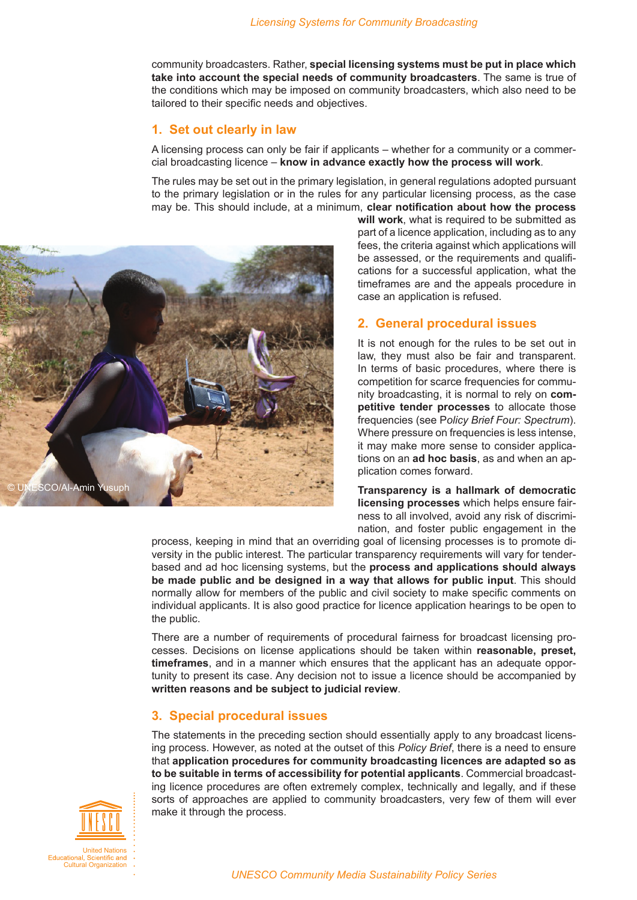community broadcasters. Rather, **special licensing systems must be put in place which take into account the special needs of community broadcasters**. The same is true of the conditions which may be imposed on community broadcasters, which also need to be tailored to their specific needs and objectives.

#### **1. Set out clearly in law**

A licensing process can only be fair if applicants – whether for a community or a commercial broadcasting licence – **know in advance exactly how the process will work**.

The rules may be set out in the primary legislation, in general regulations adopted pursuant to the primary legislation or in the rules for any particular licensing process, as the case may be. This should include, at a minimum, **clear notification about how the process** 



**will work**, what is required to be submitted as part of a licence application, including as to any fees, the criteria against which applications will be assessed, or the requirements and qualifications for a successful application, what the timeframes are and the appeals procedure in case an application is refused.

#### **2. General procedural issues**

It is not enough for the rules to be set out in law, they must also be fair and transparent. In terms of basic procedures, where there is competition for scarce frequencies for community broadcasting, it is normal to rely on **competitive tender processes** to allocate those frequencies (see P*olicy Brief Four: Spectrum*). Where pressure on frequencies is less intense, it may make more sense to consider applications on an **ad hoc basis**, as and when an application comes forward.

**Transparency is a hallmark of democratic licensing processes** which helps ensure fairness to all involved, avoid any risk of discrimination, and foster public engagement in the

process, keeping in mind that an overriding goal of licensing processes is to promote diversity in the public interest. The particular transparency requirements will vary for tenderbased and ad hoc licensing systems, but the **process and applications should always be made public and be designed in a way that allows for public input**. This should normally allow for members of the public and civil society to make specific comments on individual applicants. It is also good practice for licence application hearings to be open to the public.

There are a number of requirements of procedural fairness for broadcast licensing processes. Decisions on license applications should be taken within **reasonable, preset, timeframes**, and in a manner which ensures that the applicant has an adequate opportunity to present its case. Any decision not to issue a licence should be accompanied by **written reasons and be subject to judicial review**.

#### **3. Special procedural issues**

The statements in the preceding section should essentially apply to any broadcast licensing process. However, as noted at the outset of this *Policy Brief*, there is a need to ensure that **application procedures for community broadcasting licences are adapted so as to be suitable in terms of accessibility for potential applicants**. Commercial broadcasting licence procedures are often extremely complex, technically and legally, and if these sorts of approaches are applied to community broadcasters, very few of them will ever make it through the process.

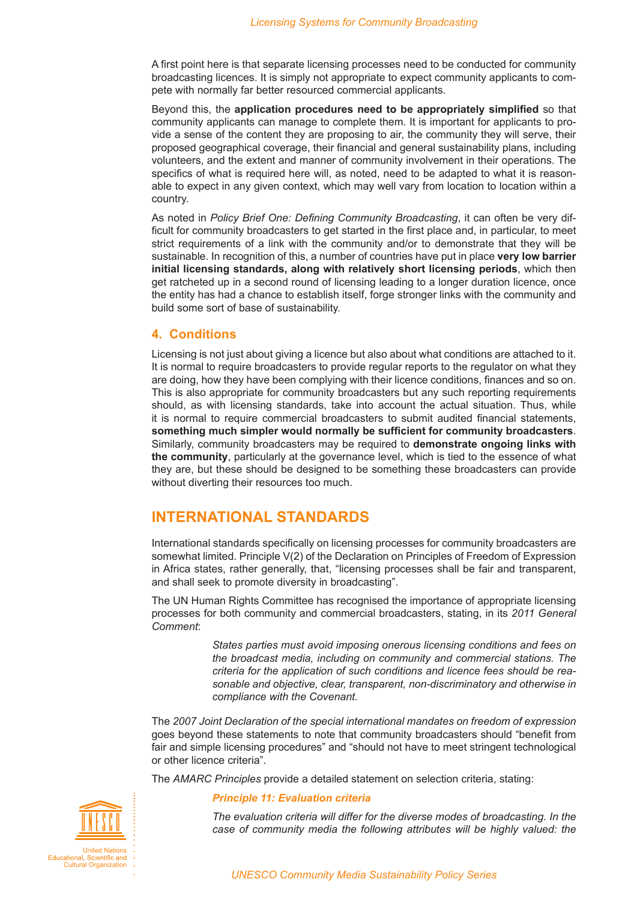<span id="page-2-0"></span>A first point here is that separate licensing processes need to be conducted for community broadcasting licences. It is simply not appropriate to expect community applicants to compete with normally far better resourced commercial applicants.

Beyond this, the **application procedures need to be appropriately simplified** so that community applicants can manage to complete them. It is important for applicants to provide a sense of the content they are proposing to air, the community they will serve, their proposed geographical coverage, their financial and general sustainability plans, including volunteers, and the extent and manner of community involvement in their operations. The specifics of what is required here will, as noted, need to be adapted to what it is reasonable to expect in any given context, which may well vary from location to location within a country.

As noted in *Policy Brief One: Defining Community Broadcasting*, it can often be very difficult for community broadcasters to get started in the first place and, in particular, to meet strict requirements of a link with the community and/or to demonstrate that they will be sustainable. In recognition of this, a number of countries have put in place **very low barrier initial licensing standards, along with relatively short licensing periods**, which then get ratcheted up in a second round of licensing leading to a longer duration licence, once the entity has had a chance to establish itself, forge stronger links with the community and build some sort of base of sustainability.

#### **4. Conditions**

Licensing is not just about giving a licence but also about what conditions are attached to it. It is normal to require broadcasters to provide regular reports to the regulator on what they are doing, how they have been complying with their licence conditions, finances and so on. This is also appropriate for community broadcasters but any such reporting requirements should, as with licensing standards, take into account the actual situation. Thus, while it is normal to require commercial broadcasters to submit audited financial statements, **something much simpler would normally be sufficient for community broadcasters**. Similarly, community broadcasters may be required to **demonstrate ongoing links with the community**, particularly at the governance level, which is tied to the essence of what they are, but these should be designed to be something these broadcasters can provide without diverting their resources too much.

### **INTERNATIONAL STANDARDS**

International standards specifically on licensing processes for community broadcasters are somewhat limited. Principle V(2) of the Declaration on Principles of Freedom of Expression in Africa states, rather generally, that, "licensing processes shall be fair and transparent, and shall seek to promote diversity in broadcasting".

The UN Human Rights Committee has recognised the importance of appropriate licensing processes for both community and commercial broadcasters, stating, in its *2011 General Comment*:

> *States parties must avoid imposing onerous licensing conditions and fees on the broadcast media, including on community and commercial stations. The criteria for the application of such conditions and licence fees should be reasonable and objective, clear, transparent, non-discriminatory and otherwise in compliance with the Covenant.*

The *2007 Joint Declaration of the special international mandates on freedom of expression* goes beyond these statements to note that community broadcasters should "benefit from fair and simple licensing procedures" and "should not have to meet stringent technological or other licence criteria".

The *AMARC Principles* provide a detailed statement on selection criteria, stating:



*The evaluation criteria will differ for the diverse modes of broadcasting. In the case of community media the following attributes will be highly valued: the*